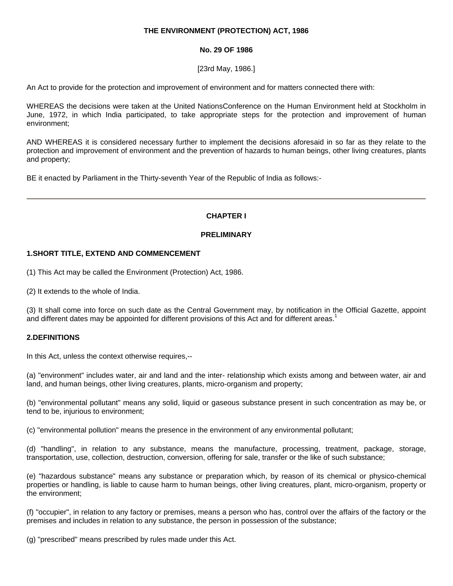## **THE ENVIRONMENT (PROTECTION) ACT, 1986**

## **No. 29 OF 1986**

## [23rd May, 1986.]

An Act to provide for the protection and improvement of environment and for matters connected there with:

WHEREAS the decisions were taken at the United NationsConference on the Human Environment held at Stockholm in June, 1972, in which India participated, to take appropriate steps for the protection and improvement of human environment;

AND WHEREAS it is considered necessary further to implement the decisions aforesaid in so far as they relate to the protection and improvement of environment and the prevention of hazards to human beings, other living creatures, plants and property;

BE it enacted by Parliament in the Thirty-seventh Year of the Republic of India as follows:-

# **CHAPTER I**

## **PRELIMINARY**

## **1.SHORT TITLE, EXTEND AND COMMENCEMENT**

(1) This Act may be called the Environment (Protection) Act, 1986.

(2) It extends to the whole of India.

(3) It shall come into force on such date as the Central Government may, by notification in the Official Gazette, appoint and different dates may be appointed for different provisions of this Act and for different areas.<sup>1</sup>

## **2.DEFINITIONS**

In this Act, unless the context otherwise requires,--

(a) "environment" includes water, air and land and the inter- relationship which exists among and between water, air and land, and human beings, other living creatures, plants, micro-organism and property;

(b) "environmental pollutant" means any solid, liquid or gaseous substance present in such concentration as may be, or tend to be, injurious to environment;

(c) "environmental pollution" means the presence in the environment of any environmental pollutant;

(d) "handling", in relation to any substance, means the manufacture, processing, treatment, package, storage, transportation, use, collection, destruction, conversion, offering for sale, transfer or the like of such substance;

(e) "hazardous substance" means any substance or preparation which, by reason of its chemical or physico-chemical properties or handling, is liable to cause harm to human beings, other living creatures, plant, micro-organism, property or the environment;

(f) "occupier", in relation to any factory or premises, means a person who has, control over the affairs of the factory or the premises and includes in relation to any substance, the person in possession of the substance;

(g) "prescribed" means prescribed by rules made under this Act.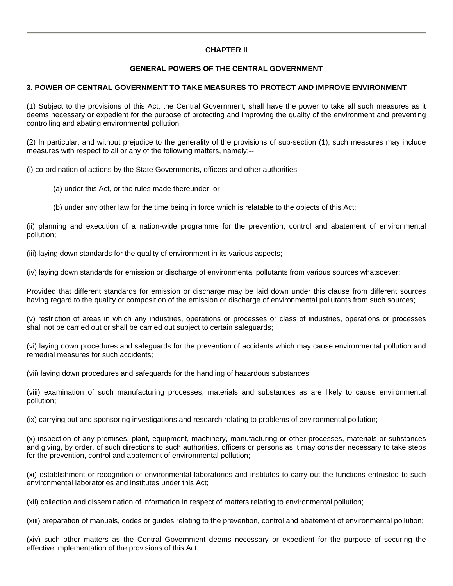# **CHAPTER II**

## **GENERAL POWERS OF THE CENTRAL GOVERNMENT**

## **3. POWER OF CENTRAL GOVERNMENT TO TAKE MEASURES TO PROTECT AND IMPROVE ENVIRONMENT**

(1) Subject to the provisions of this Act, the Central Government, shall have the power to take all such measures as it deems necessary or expedient for the purpose of protecting and improving the quality of the environment and preventing controlling and abating environmental pollution.

(2) In particular, and without prejudice to the generality of the provisions of sub-section (1), such measures may include measures with respect to all or any of the following matters, namely:--

(i) co-ordination of actions by the State Governments, officers and other authorities--

(a) under this Act, or the rules made thereunder, or

(b) under any other law for the time being in force which is relatable to the objects of this Act;

(ii) planning and execution of a nation-wide programme for the prevention, control and abatement of environmental pollution;

(iii) laying down standards for the quality of environment in its various aspects;

(iv) laying down standards for emission or discharge of environmental pollutants from various sources whatsoever:

Provided that different standards for emission or discharge may be laid down under this clause from different sources having regard to the quality or composition of the emission or discharge of environmental pollutants from such sources;

(v) restriction of areas in which any industries, operations or processes or class of industries, operations or processes shall not be carried out or shall be carried out subject to certain safeguards;

(vi) laying down procedures and safeguards for the prevention of accidents which may cause environmental pollution and remedial measures for such accidents;

(vii) laying down procedures and safeguards for the handling of hazardous substances;

(viii) examination of such manufacturing processes, materials and substances as are likely to cause environmental pollution;

(ix) carrying out and sponsoring investigations and research relating to problems of environmental pollution;

(x) inspection of any premises, plant, equipment, machinery, manufacturing or other processes, materials or substances and giving, by order, of such directions to such authorities, officers or persons as it may consider necessary to take steps for the prevention, control and abatement of environmental pollution;

(xi) establishment or recognition of environmental laboratories and institutes to carry out the functions entrusted to such environmental laboratories and institutes under this Act;

(xii) collection and dissemination of information in respect of matters relating to environmental pollution;

(xiii) preparation of manuals, codes or guides relating to the prevention, control and abatement of environmental pollution;

(xiv) such other matters as the Central Government deems necessary or expedient for the purpose of securing the effective implementation of the provisions of this Act.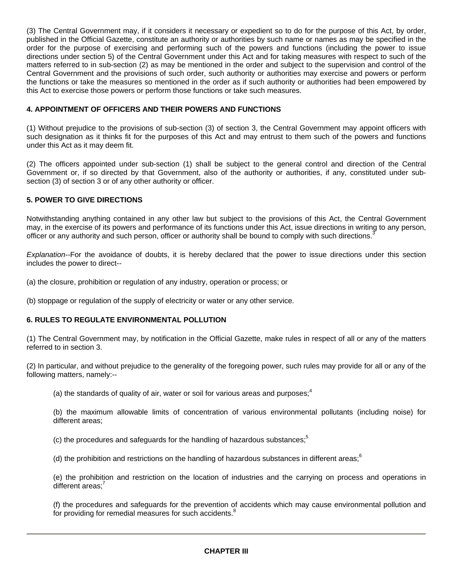(3) The Central Government may, if it considers it necessary or expedient so to do for the purpose of this Act, by order, published in the Official Gazette, constitute an authority or authorities by such name or names as may be specified in the order for the purpose of exercising and performing such of the powers and functions (including the power to issue directions under section 5) of the Central Government under this Act and for taking measures with respect to such of the matters referred to in sub-section (2) as may be mentioned in the order and subject to the supervision and control of the Central Government and the provisions of such order, such authority or authorities may exercise and powers or perform the functions or take the measures so mentioned in the order as if such authority or authorities had been empowered by this Act to exercise those powers or perform those functions or take such measures.

# **4. APPOINTMENT OF OFFICERS AND THEIR POWERS AND FUNCTIONS**

(1) Without prejudice to the provisions of sub-section (3) of section 3, the Central Government may appoint officers with such designation as it thinks fit for the purposes of this Act and may entrust to them such of the powers and functions under this Act as it may deem fit.

(2) The officers appointed under sub-section (1) shall be subject to the general control and direction of the Central Government or, if so directed by that Government, also of the authority or authorities, if any, constituted under subsection (3) of section 3 or of any other authority or officer.

# **5. POWER TO GIVE DIRECTIONS**

Notwithstanding anything contained in any other law but subject to the provisions of this Act, the Central Government may, in the exercise of its powers and performance of its functions under this Act, issue directions in writing to any person, officer or any authority and such person, officer or authority shall be bound to comply with such directions.

*Explanation--*For the avoidance of doubts, it is hereby declared that the power to issue directions under this section includes the power to direct--

(a) the closure, prohibition or regulation of any industry, operation or process; or

(b) stoppage or regulation of the supply of electricity or water or any other service.

## **6. RULES TO REGULATE ENVIRONMENTAL POLLUTION**

(1) The Central Government may, by notification in the Official Gazette, make rules in respect of all or any of the matters referred to in section 3.

(2) In particular, and without prejudice to the generality of the foregoing power, such rules may provide for all or any of the following matters, namely:--

(a) the standards of quality of air, water or soil for various areas and purposes; $4$ 

(b) the maximum allowable limits of concentration of various environmental pollutants (including noise) for different areas;

(c) the procedures and safeguards for the handling of hazardous substances; $5$ 

(d) the prohibition and restrictions on the handling of hazardous substances in different areas: $6$ 

(e) the prohibition and restriction on the location of industries and the carrying on process and operations in different areas:<sup>7</sup>

(f) the procedures and safeguards for the prevention of accidents which may cause environmental pollution and for providing for remedial measures for such accidents.<sup>8</sup>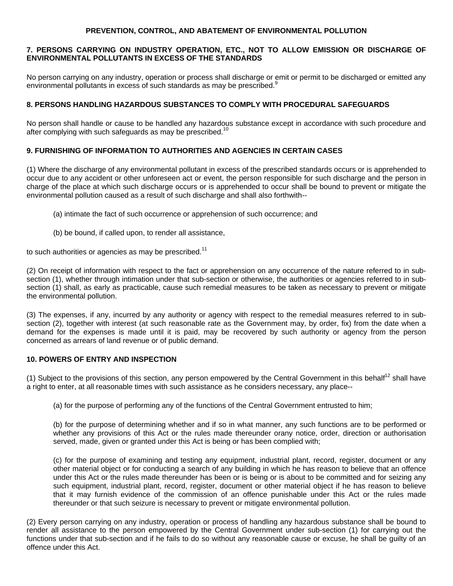## **PREVENTION, CONTROL, AND ABATEMENT OF ENVIRONMENTAL POLLUTION**

## **7. PERSONS CARRYING ON INDUSTRY OPERATION, ETC., NOT TO ALLOW EMISSION OR DISCHARGE OF ENVIRONMENTAL POLLUTANTS IN EXCESS OF THE STANDARDS**

No person carrying on any industry, operation or process shall discharge or emit or permit to be discharged or emitted any environmental pollutants in excess of such standards as may be prescribed.<sup>9</sup>

## **8. PERSONS HANDLING HAZARDOUS SUBSTANCES TO COMPLY WITH PROCEDURAL SAFEGUARDS**

No person shall handle or cause to be handled any hazardous substance except in accordance with such procedure and after complying with such safeguards as may be prescribed.<sup>10</sup>

## **9. FURNISHING OF INFORMATION TO AUTHORITIES AND AGENCIES IN CERTAIN CASES**

(1) Where the discharge of any environmental pollutant in excess of the prescribed standards occurs or is apprehended to occur due to any accident or other unforeseen act or event, the person responsible for such discharge and the person in charge of the place at which such discharge occurs or is apprehended to occur shall be bound to prevent or mitigate the environmental pollution caused as a result of such discharge and shall also forthwith--

- (a) intimate the fact of such occurrence or apprehension of such occurrence; and
- (b) be bound, if called upon, to render all assistance,

to such authorities or agencies as may be prescribed.<sup>11</sup>

(2) On receipt of information with respect to the fact or apprehension on any occurrence of the nature referred to in subsection (1), whether through intimation under that sub-section or otherwise, the authorities or agencies referred to in subsection (1) shall, as early as practicable, cause such remedial measures to be taken as necessary to prevent or mitigate the environmental pollution.

(3) The expenses, if any, incurred by any authority or agency with respect to the remedial measures referred to in subsection (2), together with interest (at such reasonable rate as the Government may, by order, fix) from the date when a demand for the expenses is made until it is paid, may be recovered by such authority or agency from the person concerned as arrears of land revenue or of public demand.

### **10. POWERS OF ENTRY AND INSPECTION**

(1) Subject to the provisions of this section, any person empowered by the Central Government in this behalf<sup>12</sup> shall have a right to enter, at all reasonable times with such assistance as he considers necessary, any place--

(a) for the purpose of performing any of the functions of the Central Government entrusted to him;

(b) for the purpose of determining whether and if so in what manner, any such functions are to be performed or whether any provisions of this Act or the rules made thereunder orany notice, order, direction or authorisation served, made, given or granted under this Act is being or has been complied with;

(c) for the purpose of examining and testing any equipment, industrial plant, record, register, document or any other material object or for conducting a search of any building in which he has reason to believe that an offence under this Act or the rules made thereunder has been or is being or is about to be committed and for seizing any such equipment, industrial plant, record, register, document or other material object if he has reason to believe that it may furnish evidence of the commission of an offence punishable under this Act or the rules made thereunder or that such seizure is necessary to prevent or mitigate environmental pollution.

(2) Every person carrying on any industry, operation or process of handling any hazardous substance shall be bound to render all assistance to the person empowered by the Central Government under sub-section (1) for carrying out the functions under that sub-section and if he fails to do so without any reasonable cause or excuse, he shall be guilty of an offence under this Act.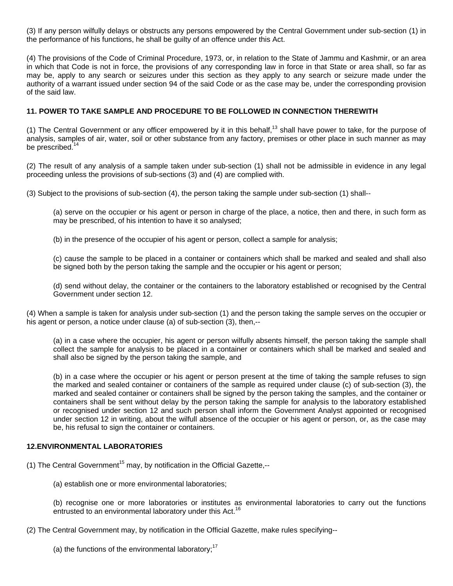(3) If any person wilfully delays or obstructs any persons empowered by the Central Government under sub-section (1) in the performance of his functions, he shall be guilty of an offence under this Act.

(4) The provisions of the Code of Criminal Procedure, 1973, or, in relation to the State of Jammu and Kashmir, or an area in which that Code is not in force, the provisions of any corresponding law in force in that State or area shall, so far as may be, apply to any search or seizures under this section as they apply to any search or seizure made under the authority of a warrant issued under section 94 of the said Code or as the case may be, under the corresponding provision of the said law.

## **11. POWER TO TAKE SAMPLE AND PROCEDURE TO BE FOLLOWED IN CONNECTION THEREWITH**

(1) The Central Government or any officer empowered by it in this behalf,<sup>13</sup> shall have power to take, for the purpose of analysis, samples of air, water, soil or other substance from any factory, premises or other place in such manner as may be prescribed.<sup>14</sup>

(2) The result of any analysis of a sample taken under sub-section (1) shall not be admissible in evidence in any legal proceeding unless the provisions of sub-sections (3) and (4) are complied with.

(3) Subject to the provisions of sub-section (4), the person taking the sample under sub-section (1) shall--

(a) serve on the occupier or his agent or person in charge of the place, a notice, then and there, in such form as may be prescribed, of his intention to have it so analysed;

(b) in the presence of the occupier of his agent or person, collect a sample for analysis;

(c) cause the sample to be placed in a container or containers which shall be marked and sealed and shall also be signed both by the person taking the sample and the occupier or his agent or person;

(d) send without delay, the container or the containers to the laboratory established or recognised by the Central Government under section 12.

(4) When a sample is taken for analysis under sub-section (1) and the person taking the sample serves on the occupier or his agent or person, a notice under clause (a) of sub-section (3), then,--

(a) in a case where the occupier, his agent or person wilfully absents himself, the person taking the sample shall collect the sample for analysis to be placed in a container or containers which shall be marked and sealed and shall also be signed by the person taking the sample, and

(b) in a case where the occupier or his agent or person present at the time of taking the sample refuses to sign the marked and sealed container or containers of the sample as required under clause (c) of sub-section (3), the marked and sealed container or containers shall be signed by the person taking the samples, and the container or containers shall be sent without delay by the person taking the sample for analysis to the laboratory established or recognised under section 12 and such person shall inform the Government Analyst appointed or recognised under section 12 in writing, about the wilfull absence of the occupier or his agent or person, or, as the case may be, his refusal to sign the container or containers.

## **12.ENVIRONMENTAL LABORATORIES**

(1) The Central Government<sup>15</sup> may, by notification in the Official Gazette, $-$ 

(a) establish one or more environmental laboratories;

(b) recognise one or more laboratories or institutes as environmental laboratories to carry out the functions entrusted to an environmental laboratory under this Act.<sup>16</sup>

(2) The Central Government may, by notification in the Official Gazette, make rules specifying--

(a) the functions of the environmental laboratory;  $17$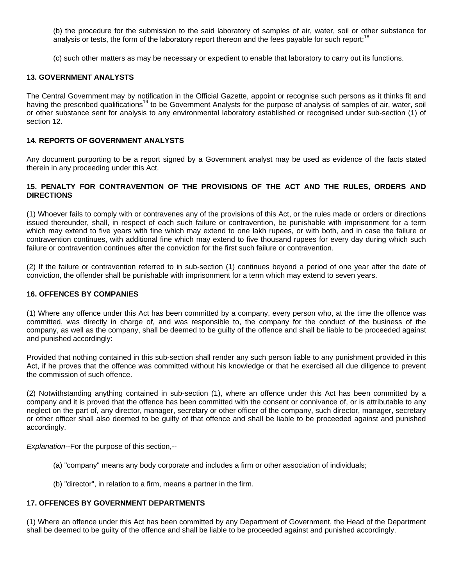(b) the procedure for the submission to the said laboratory of samples of air, water, soil or other substance for analysis or tests, the form of the laboratory report thereon and the fees payable for such report;<sup>18</sup>

(c) such other matters as may be necessary or expedient to enable that laboratory to carry out its functions.

## **13. GOVERNMENT ANALYSTS**

The Central Government may by notification in the Official Gazette, appoint or recognise such persons as it thinks fit and having the prescribed qualifications<sup>19</sup> to be Government Analysts for the purpose of analysis of samples of air, water, soil or other substance sent for analysis to any environmental laboratory established or recognised under sub-section (1) of section 12.

## **14. REPORTS OF GOVERNMENT ANALYSTS**

Any document purporting to be a report signed by a Government analyst may be used as evidence of the facts stated therein in any proceeding under this Act.

## **15. PENALTY FOR CONTRAVENTION OF THE PROVISIONS OF THE ACT AND THE RULES, ORDERS AND DIRECTIONS**

(1) Whoever fails to comply with or contravenes any of the provisions of this Act, or the rules made or orders or directions issued thereunder, shall, in respect of each such failure or contravention, be punishable with imprisonment for a term which may extend to five years with fine which may extend to one lakh rupees, or with both, and in case the failure or contravention continues, with additional fine which may extend to five thousand rupees for every day during which such failure or contravention continues after the conviction for the first such failure or contravention.

(2) If the failure or contravention referred to in sub-section (1) continues beyond a period of one year after the date of conviction, the offender shall be punishable with imprisonment for a term which may extend to seven years.

#### **16. OFFENCES BY COMPANIES**

(1) Where any offence under this Act has been committed by a company, every person who, at the time the offence was committed, was directly in charge of, and was responsible to, the company for the conduct of the business of the company, as well as the company, shall be deemed to be guilty of the offence and shall be liable to be proceeded against and punished accordingly:

Provided that nothing contained in this sub-section shall render any such person liable to any punishment provided in this Act, if he proves that the offence was committed without his knowledge or that he exercised all due diligence to prevent the commission of such offence.

(2) Notwithstanding anything contained in sub-section (1), where an offence under this Act has been committed by a company and it is proved that the offence has been committed with the consent or connivance of, or is attributable to any neglect on the part of, any director, manager, secretary or other officer of the company, such director, manager, secretary or other officer shall also deemed to be guilty of that offence and shall be liable to be proceeded against and punished accordingly.

*Explanation--*For the purpose of this section,--

- (a) "company" means any body corporate and includes a firm or other association of individuals;
- (b) "director", in relation to a firm, means a partner in the firm.

## **17. OFFENCES BY GOVERNMENT DEPARTMENTS**

(1) Where an offence under this Act has been committed by any Department of Government, the Head of the Department shall be deemed to be guilty of the offence and shall be liable to be proceeded against and punished accordingly.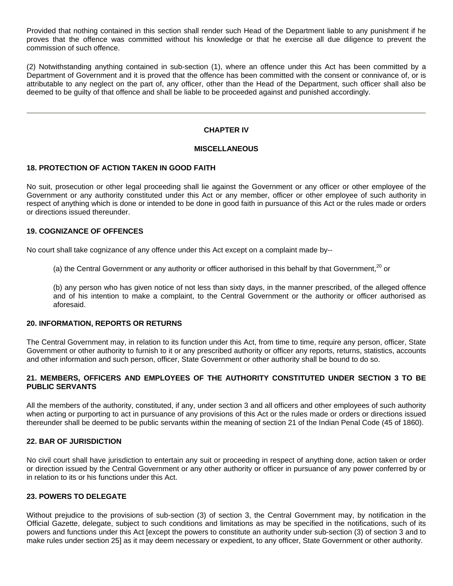Provided that nothing contained in this section shall render such Head of the Department liable to any punishment if he proves that the offence was committed without his knowledge or that he exercise all due diligence to prevent the commission of such offence.

(2) Notwithstanding anything contained in sub-section (1), where an offence under this Act has been committed by a Department of Government and it is proved that the offence has been committed with the consent or connivance of, or is attributable to any neglect on the part of, any officer, other than the Head of the Department, such officer shall also be deemed to be guilty of that offence and shall be liable to be proceeded against and punished accordingly.

## **CHAPTER IV**

#### **MISCELLANEOUS**

#### **18. PROTECTION OF ACTION TAKEN IN GOOD FAITH**

No suit, prosecution or other legal proceeding shall lie against the Government or any officer or other employee of the Government or any authority constituted under this Act or any member, officer or other employee of such authority in respect of anything which is done or intended to be done in good faith in pursuance of this Act or the rules made or orders or directions issued thereunder.

#### **19. COGNIZANCE OF OFFENCES**

No court shall take cognizance of any offence under this Act except on a complaint made by--

(a) the Central Government or any authority or officer authorised in this behalf by that Government.<sup>20</sup> or

(b) any person who has given notice of not less than sixty days, in the manner prescribed, of the alleged offence and of his intention to make a complaint, to the Central Government or the authority or officer authorised as aforesaid.

#### **20. INFORMATION, REPORTS OR RETURNS**

The Central Government may, in relation to its function under this Act, from time to time, require any person, officer, State Government or other authority to furnish to it or any prescribed authority or officer any reports, returns, statistics, accounts and other information and such person, officer, State Government or other authority shall be bound to do so.

#### **21. MEMBERS, OFFICERS AND EMPLOYEES OF THE AUTHORITY CONSTITUTED UNDER SECTION 3 TO BE PUBLIC SERVANTS**

All the members of the authority, constituted, if any, under section 3 and all officers and other employees of such authority when acting or purporting to act in pursuance of any provisions of this Act or the rules made or orders or directions issued thereunder shall be deemed to be public servants within the meaning of section 21 of the Indian Penal Code (45 of 1860).

#### **22. BAR OF JURISDICTION**

No civil court shall have jurisdiction to entertain any suit or proceeding in respect of anything done, action taken or order or direction issued by the Central Government or any other authority or officer in pursuance of any power conferred by or in relation to its or his functions under this Act.

## **23. POWERS TO DELEGATE**

Without prejudice to the provisions of sub-section (3) of section 3, the Central Government may, by notification in the Official Gazette, delegate, subject to such conditions and limitations as may be specified in the notifications, such of its powers and functions under this Act [except the powers to constitute an authority under sub-section (3) of section 3 and to make rules under section 25] as it may deem necessary or expedient, to any officer, State Government or other authority.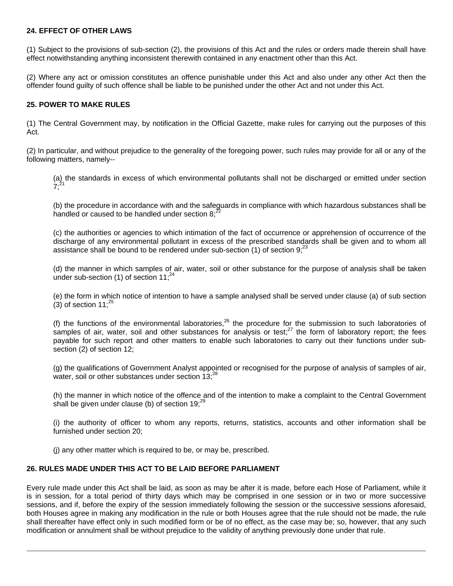## **24. EFFECT OF OTHER LAWS**

(1) Subject to the provisions of sub-section (2), the provisions of this Act and the rules or orders made therein shall have effect notwithstanding anything inconsistent therewith contained in any enactment other than this Act.

(2) Where any act or omission constitutes an offence punishable under this Act and also under any other Act then the offender found guilty of such offence shall be liable to be punished under the other Act and not under this Act.

## **25. POWER TO MAKE RULES**

(1) The Central Government may, by notification in the Official Gazette, make rules for carrying out the purposes of this Act.

(2) In particular, and without prejudice to the generality of the foregoing power, such rules may provide for all or any of the following matters, namely--

(a) the standards in excess of which environmental pollutants shall not be discharged or emitted under section  $7;^{21}$ 

(b) the procedure in accordance with and the safeguards in compliance with which hazardous substances shall be handled or caused to be handled under section  $8$ ;  $2^2$ 

(c) the authorities or agencies to which intimation of the fact of occurrence or apprehension of occurrence of the discharge of any environmental pollutant in excess of the prescribed standards shall be given and to whom all assistance shall be bound to be rendered under sub-section  $(1)$  of section  $9$ <sup>23</sup>

(d) the manner in which samples of air, water, soil or other substance for the purpose of analysis shall be taken under sub-section  $(1)$  of section  $11<sup>.24</sup>$ 

(e) the form in which notice of intention to have a sample analysed shall be served under clause (a) of sub section (3) of section  $11$ ;<sup>25</sup>

(f) the functions of the environmental laboratories,<sup>26</sup> the procedure for the submission to such laboratories of samples of air, water, soil and other substances for analysis or test;<sup>27</sup> the form of laboratory report; the fees payable for such report and other matters to enable such laboratories to carry out their functions under subsection (2) of section 12;

(g) the qualifications of Government Analyst appointed or recognised for the purpose of analysis of samples of air, water, soil or other substances under section  $13$ ;<sup>28</sup>

(h) the manner in which notice of the offence and of the intention to make a complaint to the Central Government shall be given under clause (b) of section  $19<sup>29</sup>$ 

(i) the authority of officer to whom any reports, returns, statistics, accounts and other information shall be furnished under section 20;

(j) any other matter which is required to be, or may be, prescribed.

#### **26. RULES MADE UNDER THIS ACT TO BE LAID BEFORE PARLIAMENT**

Every rule made under this Act shall be laid, as soon as may be after it is made, before each Hose of Parliament, while it is in session, for a total period of thirty days which may be comprised in one session or in two or more successive sessions, and if, before the expiry of the session immediately following the session or the successive sessions aforesaid, both Houses agree in making any modification in the rule or both Houses agree that the rule should not be made, the rule shall thereafter have effect only in such modified form or be of no effect, as the case may be; so, however, that any such modification or annulment shall be without prejudice to the validity of anything previously done under that rule.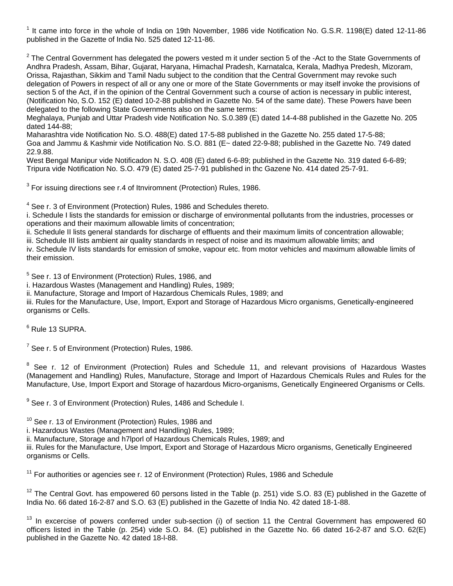$1$  It came into force in the whole of India on 19th November, 1986 vide Notification No. G.S.R. 1198(E) dated 12-11-86 published in the Gazette of India No. 525 dated 12-11-86.

 $2$  The Central Government has delegated the powers vested m it under section 5 of the -Act to the State Governments of Andhra Pradesh, Assam, Bihar, Gujarat, Haryana, Himachal Pradesh, Karnatalca, Kerala, Madhya Predesh, Mizoram, Orissa, Rajasthan, Sikkim and Tamil Nadu subject to the condition that the Central Government may revoke such delegation of Powers in respect of all or any one or more of the State Governments or may itself invoke the provisions of section 5 of the Act, if in the opinion of the Central Government such a course of action is necessary in public interest, (Notification No, S.O. 152 (E) dated 10-2-88 published in Gazette No. 54 of the same date). These Powers have been delegated to the following State Governments also on the same terms:

Meghalaya, Punjab and Uttar Pradesh vide Notification No. S.0.389 (E) dated 14-4-88 published in the Gazette No. 205 dated 144-88;

Maharashtra vide Notification No. S.O. 488(E) dated 17-5-88 published in the Gazette No. 255 dated 17-5-88; Goa and Jammu & Kashmir vide Notification No. S.O. 881 (E~ dated 22-9-88; published in the Gazette No. 749 dated 22.9.88.

West Bengal Manipur vide Notificadon N. S.O. 408 (E) dated 6-6-89; published in the Gazette No. 319 dated 6-6-89; Tripura vide Notification No. S.O. 479 (E) dated 25-7-91 published in thc Gazene No. 414 dated 25-7-91.

 $3$  For issuing directions see r.4 of Itnviromnent (Protection) Rules, 1986.

<sup>4</sup> See r. 3 of Environment (Protection) Rules, 1986 and Schedules thereto.

i. Schedule I lists the standards for emission or discharge of environmental pollutants from the industries, processes or operations and their maximum allowable limits of concentration;

ii. Schedule II lists general standards for discharge of effluents and their maximum limits of concentration allowable;

iii. Schedule III lists ambient air quality standards in respect of noise and its maximum allowable limits; and iv. Schedule IV lists standards for emission of smoke, vapour etc. from motor vehicles and maximum allowable limits of their emission.

<sup>5</sup> See r. 13 of Environment (Protection) Rules, 1986, and

i. Hazardous Wastes (Management and Handling) Rules, 1989;

ii. Manufacture, Storage and Import of Hazardous Chemicals Rules, 1989; and

iii. Rules for the Manufacture, Use, Import, Export and Storage of Hazardous Micro organisms, Genetically-engineered organisms or Cells.

<sup>6</sup> Rule 13 SUPRA.

 $7$  See r. 5 of Environment (Protection) Rules, 1986.

<sup>8</sup> See r. 12 of Environment (Protection) Rules and Schedule 11, and relevant provisions of Hazardous Wastes (Management and Handling) Rules, Manufacture, Storage and Import of Hazardous Chemicals Rules and Rules for the Manufacture, Use, Import Export and Storage of hazardous Micro-organisms, Genetically Engineered Organisms or Cells.

<sup>9</sup> See r. 3 of Environment (Protection) Rules, 1486 and Schedule I.

 $10$  See r. 13 of Environment (Protection) Rules, 1986 and

i. Hazardous Wastes (Management and Handling) Rules, 1989;

ii. Manufacture, Storage and h7lporl of Hazardous Chemicals Rules, 1989; and

iii. Rules for the Manufacture, Use Import, Export and Storage of Hazardous Micro organisms, Genetically Engineered organisms or Cells.

 $11$  For authorities or agencies see r. 12 of Environment (Protection) Rules, 1986 and Schedule

<sup>12</sup> The Central Govt. has empowered 60 persons listed in the Table (p. 251) vide S.O. 83 (E) published in the Gazette of India No. 66 dated 16-2-87 and S.O. 63 (E) published in the Gazette of India No. 42 dated 18-1-88.

 $13$  In excercise of powers conferred under sub-section (i) of section 11 the Central Government has empowered 60 officers listed in the Table (p. 254) vide S.O. 84. (E) published in the Gazette No. 66 dated 16-2-87 and S.O. 62(E) published in the Gazette No. 42 dated 18-l-88.